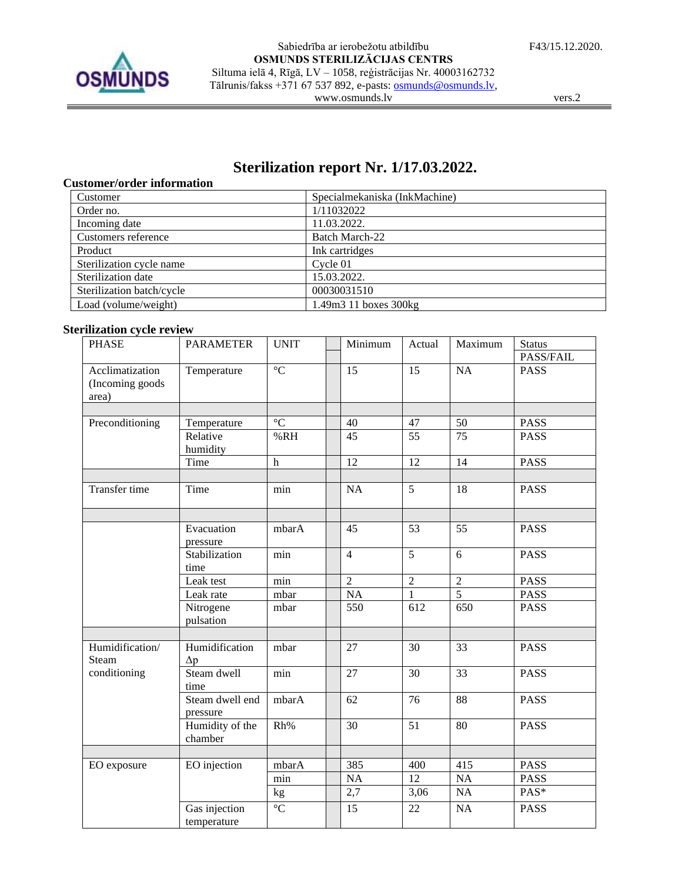

vers.2

# **Sterilization report Nr. 1/17.03.2022.**

## **Customer/order information**

| Customer                  | Specialmekaniska (InkMachine) |
|---------------------------|-------------------------------|
| Order no.                 | 1/11032022                    |
| Incoming date             | 11.03.2022.                   |
| Customers reference       | Batch March-22                |
| Product                   | Ink cartridges                |
| Sterilization cycle name  | Cycle 01                      |
| Sterilization date        | 15.03.2022.                   |
| Sterilization batch/cycle | 00030031510                   |
| Load (volume/weight)      | $1.49m3$ 11 boxes $300kg$     |

## **Sterilization cycle review**

| <b>PHASE</b>                                 | <b>PARAMETER</b>             | <b>UNIT</b>     | Minimum        | Actual          | Maximum         | <b>Status</b> |
|----------------------------------------------|------------------------------|-----------------|----------------|-----------------|-----------------|---------------|
|                                              |                              |                 |                |                 |                 | PASS/FAIL     |
| Acclimatization<br>(Incoming goods)<br>area) | Temperature                  | $\overline{C}$  | 15             | $\overline{15}$ | $\overline{NA}$ | <b>PASS</b>   |
|                                              |                              |                 |                |                 |                 |               |
| Preconditioning                              | Temperature                  | $\rm ^{\circ}C$ | 40             | 47              | 50              | <b>PASS</b>   |
|                                              | Relative<br>humidity         | %RH             | 45             | 55              | $\overline{75}$ | <b>PASS</b>   |
|                                              | Time                         | $\,h$           | 12             | 12              | 14              | <b>PASS</b>   |
|                                              |                              |                 |                |                 |                 |               |
| Transfer time                                | Time                         | min             | NA             | $\overline{5}$  | 18              | <b>PASS</b>   |
|                                              |                              |                 |                |                 |                 |               |
|                                              | Evacuation<br>pressure       | mbarA           | 45             | 53              | 55              | <b>PASS</b>   |
|                                              | Stabilization<br>time        | min             | $\overline{4}$ | $\overline{5}$  | 6               | <b>PASS</b>   |
|                                              | Leak test                    | min             | $\overline{2}$ | $\overline{2}$  | $\overline{2}$  | <b>PASS</b>   |
|                                              | Leak rate                    | mbar            | NA             | $\mathbf{1}$    | $\overline{5}$  | <b>PASS</b>   |
|                                              | Nitrogene<br>pulsation       | mbar            | 550            | 612             | 650             | <b>PASS</b>   |
|                                              |                              |                 |                |                 |                 |               |
| Humidification/<br><b>Steam</b>              | Humidification<br>$\Delta p$ | mbar            | 27             | 30              | 33              | <b>PASS</b>   |
| conditioning                                 | Steam dwell<br>time          | min             | 27             | 30              | 33              | <b>PASS</b>   |
|                                              | Steam dwell end<br>pressure  | mbarA           | 62             | 76              | 88              | <b>PASS</b>   |
|                                              | Humidity of the<br>chamber   | Rh%             | 30             | 51              | 80              | <b>PASS</b>   |
|                                              |                              |                 |                |                 |                 |               |
| EO exposure                                  | EO injection                 | mbarA           | 385            | 400             | 415             | <b>PASS</b>   |
|                                              |                              | $\min$          | $\rm NA$       | 12              | NA              | PASS          |
|                                              |                              | kg              | 2,7            | 3,06            | NA              | PAS*          |
|                                              | Gas injection<br>temperature | $\overline{C}$  | 15             | 22              | NA              | <b>PASS</b>   |